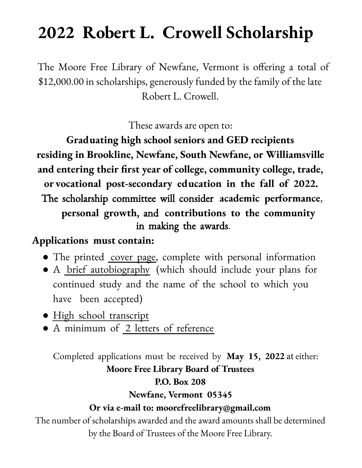## **2022 Robert L. Crowell Scholarship**

The Moore Free Library of Newfane, Vermont is offering a total of \$12,000.00 in scholarships, generously funded by the family of the late Robert L. Crowell.

These awards are open to:

Graduating high school seniors and GED recipients residing in Brookline, Newfane, South Newfane, or Williamsville and entering their first year of college, community college, trade, or vocational post-secondary education in the fall of 2022. The scholarship committee will consider academic performance, personal growth, and contributions to the community in making the awards.

## Applications must contain:

- The printed cover page, complete with personal information
- A *brief* autobiography (which should include your plans for continued study and the name of the school to which you have been accepted)
- High school transcript
- A minimum of 2 letters of reference

Completed applications must be received by May 15, 2022 at either: **Moore Free Library Board of Trustees P.O.** Box 208 Newfane, Vermont 05345 Or via e-mail to: moorefreelibrary@gmail.com The number of scholarships awarded and the award amounts shall be determined

by the Board of Trustees of the Moore Free Library.